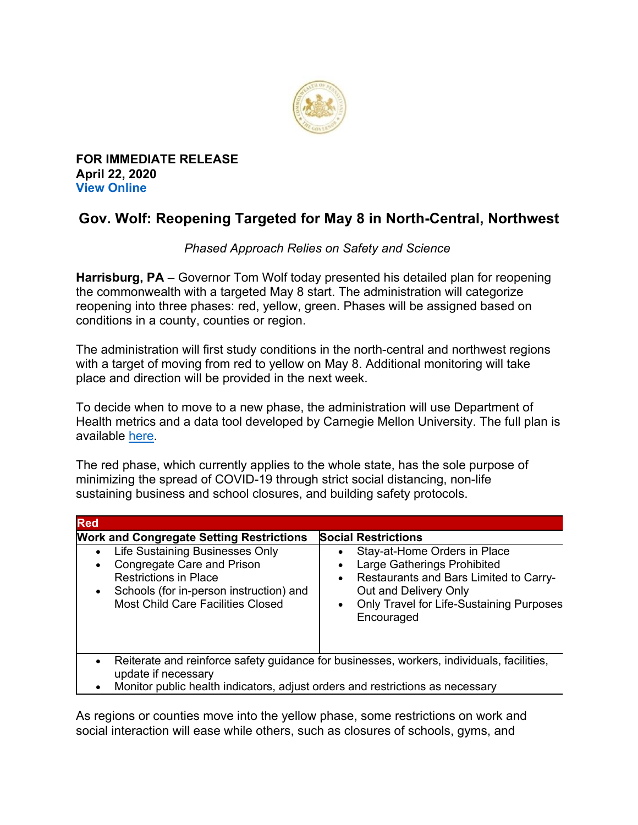

**FOR IMMEDIATE RELEASE April 22, 2020 View Online**

## **Gov. Wolf: Reopening Targeted for May 8 in North-Central, Northwest**

## *Phased Approach Relies on Safety and Science*

**Harrisburg, PA** – Governor Tom Wolf today presented his detailed plan for reopening the commonwealth with a targeted May 8 start. The administration will categorize reopening into three phases: red, yellow, green. Phases will be assigned based on conditions in a county, counties or region.

The administration will first study conditions in the north-central and northwest regions with a target of moving from red to yellow on May 8. Additional monitoring will take place and direction will be provided in the next week.

To decide when to move to a new phase, the administration will use Department of Health metrics and a data tool developed by Carnegie Mellon University. The full plan is available here.

The red phase, which currently applies to the whole state, has the sole purpose of minimizing the spread of COVID-19 through strict social distancing, non-life sustaining business and school closures, and building safety protocols.

| <b>Red</b>                                                                                                                                                                                                                                                                     |                                                                                                                                                                                                                                                               |
|--------------------------------------------------------------------------------------------------------------------------------------------------------------------------------------------------------------------------------------------------------------------------------|---------------------------------------------------------------------------------------------------------------------------------------------------------------------------------------------------------------------------------------------------------------|
| <b>Work and Congregate Setting Restrictions</b><br>Life Sustaining Businesses Only<br>$\bullet$<br>Congregate Care and Prison<br>$\bullet$<br><b>Restrictions in Place</b><br>Schools (for in-person instruction) and<br>$\bullet$<br><b>Most Child Care Facilities Closed</b> | <b>Social Restrictions</b><br>Stay-at-Home Orders in Place<br>Large Gatherings Prohibited<br>$\bullet$<br>Restaurants and Bars Limited to Carry-<br>$\bullet$<br>Out and Delivery Only<br>Only Travel for Life-Sustaining Purposes<br>$\bullet$<br>Encouraged |
| $\bullet$<br>update if necessary                                                                                                                                                                                                                                               | Reiterate and reinforce safety guidance for businesses, workers, individuals, facilities,                                                                                                                                                                     |

• Monitor public health indicators, adjust orders and restrictions as necessary

As regions or counties move into the yellow phase, some restrictions on work and social interaction will ease while others, such as closures of schools, gyms, and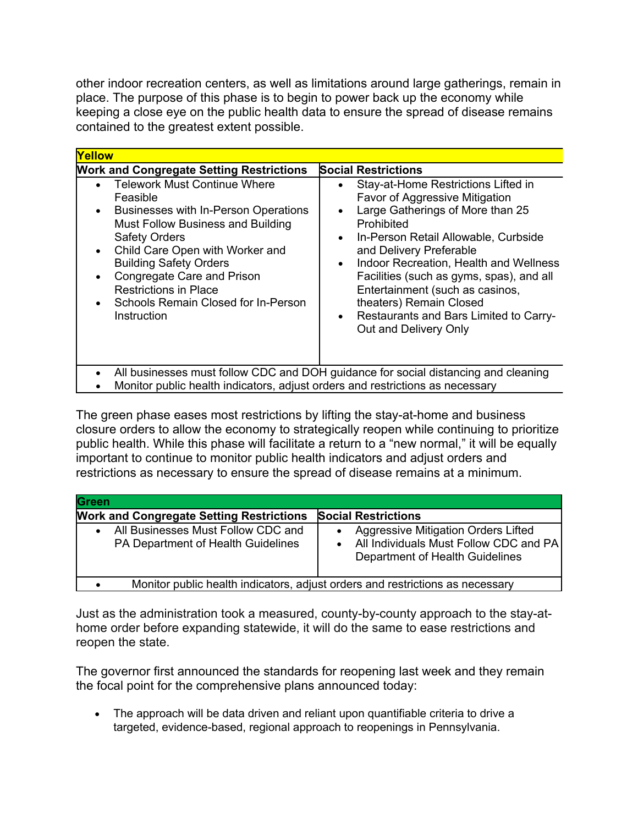other indoor recreation centers, as well as limitations around large gatherings, remain in place. The purpose of this phase is to begin to power back up the economy while keeping a close eye on the public health data to ensure the spread of disease remains contained to the greatest extent possible.

| Yellow                                                                                                                                                                                                                                                                                                                                                                              |                                                                                                                                                                                                                                                                                                                                                                                                                                                                                    |
|-------------------------------------------------------------------------------------------------------------------------------------------------------------------------------------------------------------------------------------------------------------------------------------------------------------------------------------------------------------------------------------|------------------------------------------------------------------------------------------------------------------------------------------------------------------------------------------------------------------------------------------------------------------------------------------------------------------------------------------------------------------------------------------------------------------------------------------------------------------------------------|
| <b>Work and Congregate Setting Restrictions</b>                                                                                                                                                                                                                                                                                                                                     | <b>Social Restrictions</b>                                                                                                                                                                                                                                                                                                                                                                                                                                                         |
| <b>Telework Must Continue Where</b><br>Feasible<br>Businesses with In-Person Operations<br>$\bullet$<br>Must Follow Business and Building<br><b>Safety Orders</b><br>Child Care Open with Worker and<br>$\bullet$<br><b>Building Safety Orders</b><br>Congregate Care and Prison<br>$\bullet$<br><b>Restrictions in Place</b><br>Schools Remain Closed for In-Person<br>Instruction | Stay-at-Home Restrictions Lifted in<br>$\bullet$<br>Favor of Aggressive Mitigation<br>Large Gatherings of More than 25<br>$\bullet$<br>Prohibited<br>In-Person Retail Allowable, Curbside<br>$\bullet$<br>and Delivery Preferable<br>Indoor Recreation, Health and Wellness<br>$\bullet$<br>Facilities (such as gyms, spas), and all<br>Entertainment (such as casinos,<br>theaters) Remain Closed<br>Restaurants and Bars Limited to Carry-<br>$\bullet$<br>Out and Delivery Only |
| All businesses must follow CDC and DOH guidance for social distancing and cleaning<br>Monitor public health indicators, adjust orders and restrictions as necessary                                                                                                                                                                                                                 |                                                                                                                                                                                                                                                                                                                                                                                                                                                                                    |

The green phase eases most restrictions by lifting the stay-at-home and business closure orders to allow the economy to strategically reopen while continuing to prioritize public health. While this phase will facilitate a return to a "new normal," it will be equally important to continue to monitor public health indicators and adjust orders and restrictions as necessary to ensure the spread of disease remains at a minimum.

| Green                                                                                 |                                                                                                                  |
|---------------------------------------------------------------------------------------|------------------------------------------------------------------------------------------------------------------|
| <b>Work and Congregate Setting Restrictions</b>                                       | <b>Social Restrictions</b>                                                                                       |
| All Businesses Must Follow CDC and<br>$\bullet$<br>PA Department of Health Guidelines | Aggressive Mitigation Orders Lifted<br>All Individuals Must Follow CDC and PA<br>Department of Health Guidelines |
|                                                                                       | Monitor public health indicators, adjust orders and restrictions as necessary                                    |

Just as the administration took a measured, county-by-county approach to the stay-athome order before expanding statewide, it will do the same to ease restrictions and reopen the state.

The governor first announced the standards for reopening last week and they remain the focal point for the comprehensive plans announced today:

• The approach will be data driven and reliant upon quantifiable criteria to drive a targeted, evidence-based, regional approach to reopenings in Pennsylvania.